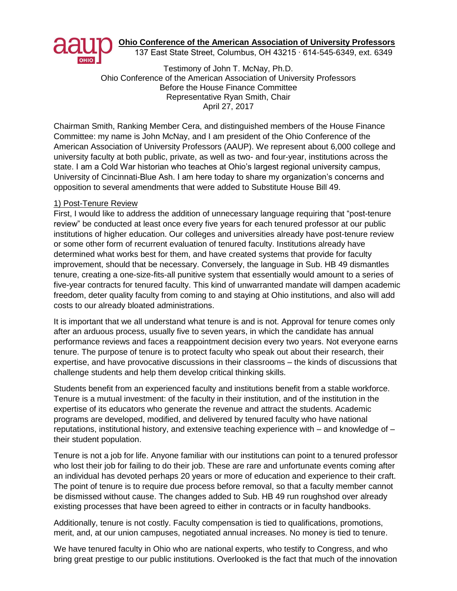

**Ohio Conference of the American Association of University Professors**

137 East State Street, Columbus, OH 43215 ∙ 614-545-6349, ext. 6349

Testimony of John T. McNay, Ph.D. Ohio Conference of the American Association of University Professors Before the House Finance Committee Representative Ryan Smith, Chair April 27, 2017

Chairman Smith, Ranking Member Cera, and distinguished members of the House Finance Committee: my name is John McNay, and I am president of the Ohio Conference of the American Association of University Professors (AAUP). We represent about 6,000 college and university faculty at both public, private, as well as two- and four-year, institutions across the state. I am a Cold War historian who teaches at Ohio's largest regional university campus, University of Cincinnati-Blue Ash. I am here today to share my organization's concerns and opposition to several amendments that were added to Substitute House Bill 49.

## 1) Post-Tenure Review

First, I would like to address the addition of unnecessary language requiring that "post-tenure review" be conducted at least once every five years for each tenured professor at our public institutions of higher education. Our colleges and universities already have post-tenure review or some other form of recurrent evaluation of tenured faculty. Institutions already have determined what works best for them, and have created systems that provide for faculty improvement, should that be necessary. Conversely, the language in Sub. HB 49 dismantles tenure, creating a one-size-fits-all punitive system that essentially would amount to a series of five-year contracts for tenured faculty. This kind of unwarranted mandate will dampen academic freedom, deter quality faculty from coming to and staying at Ohio institutions, and also will add costs to our already bloated administrations.

It is important that we all understand what tenure is and is not. Approval for tenure comes only after an arduous process, usually five to seven years, in which the candidate has annual performance reviews and faces a reappointment decision every two years. Not everyone earns tenure. The purpose of tenure is to protect faculty who speak out about their research, their expertise, and have provocative discussions in their classrooms – the kinds of discussions that challenge students and help them develop critical thinking skills.

Students benefit from an experienced faculty and institutions benefit from a stable workforce. Tenure is a mutual investment: of the faculty in their institution, and of the institution in the expertise of its educators who generate the revenue and attract the students. Academic programs are developed, modified, and delivered by tenured faculty who have national reputations, institutional history, and extensive teaching experience with  $-$  and knowledge of  $$ their student population.

Tenure is not a job for life. Anyone familiar with our institutions can point to a tenured professor who lost their job for failing to do their job. These are rare and unfortunate events coming after an individual has devoted perhaps 20 years or more of education and experience to their craft. The point of tenure is to require due process before removal, so that a faculty member cannot be dismissed without cause. The changes added to Sub. HB 49 run roughshod over already existing processes that have been agreed to either in contracts or in faculty handbooks.

Additionally, tenure is not costly. Faculty compensation is tied to qualifications, promotions, merit, and, at our union campuses, negotiated annual increases. No money is tied to tenure.

We have tenured faculty in Ohio who are national experts, who testify to Congress, and who bring great prestige to our public institutions. Overlooked is the fact that much of the innovation